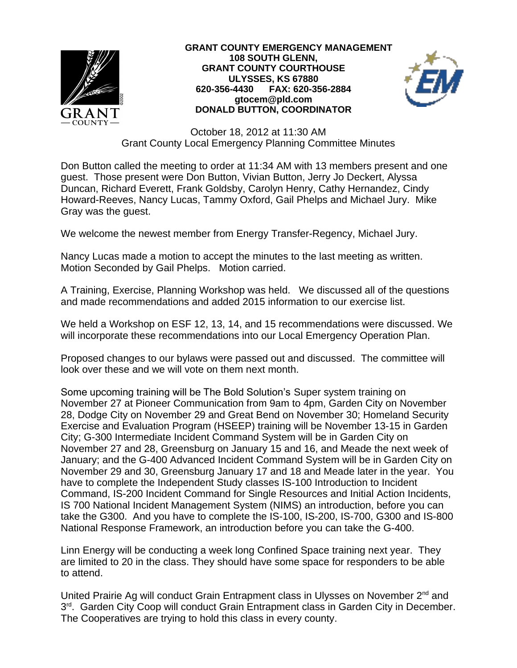

## **GRANT COUNTY EMERGENCY MANAGEMENT 108 SOUTH GLENN, GRANT COUNTY COURTHOUSE ULYSSES, KS 67880 620-356-4430 FAX: 620-356-2884 gtocem@pld.com DONALD BUTTON, COORDINATOR**



October 18, 2012 at 11:30 AM Grant County Local Emergency Planning Committee Minutes

Don Button called the meeting to order at 11:34 AM with 13 members present and one guest. Those present were Don Button, Vivian Button, Jerry Jo Deckert, Alyssa Duncan, Richard Everett, Frank Goldsby, Carolyn Henry, Cathy Hernandez, Cindy Howard-Reeves, Nancy Lucas, Tammy Oxford, Gail Phelps and Michael Jury. Mike Gray was the guest.

We welcome the newest member from Energy Transfer-Regency, Michael Jury.

Nancy Lucas made a motion to accept the minutes to the last meeting as written. Motion Seconded by Gail Phelps. Motion carried.

A Training, Exercise, Planning Workshop was held. We discussed all of the questions and made recommendations and added 2015 information to our exercise list.

We held a Workshop on ESF 12, 13, 14, and 15 recommendations were discussed. We will incorporate these recommendations into our Local Emergency Operation Plan.

Proposed changes to our bylaws were passed out and discussed. The committee will look over these and we will vote on them next month.

Some upcoming training will be The Bold Solution's Super system training on November 27 at Pioneer Communication from 9am to 4pm, Garden City on November 28, Dodge City on November 29 and Great Bend on November 30; Homeland Security Exercise and Evaluation Program (HSEEP) training will be November 13-15 in Garden City; G-300 Intermediate Incident Command System will be in Garden City on November 27 and 28, Greensburg on January 15 and 16, and Meade the next week of January; and the G-400 Advanced Incident Command System will be in Garden City on November 29 and 30, Greensburg January 17 and 18 and Meade later in the year. You have to complete the Independent Study classes IS-100 Introduction to Incident Command, IS-200 Incident Command for Single Resources and Initial Action Incidents, IS 700 National Incident Management System (NIMS) an introduction, before you can take the G300. And you have to complete the IS-100, IS-200, IS-700, G300 and IS-800 National Response Framework, an introduction before you can take the G-400.

Linn Energy will be conducting a week long Confined Space training next year. They are limited to 20 in the class. They should have some space for responders to be able to attend.

United Prairie Ag will conduct Grain Entrapment class in Ulysses on November 2<sup>nd</sup> and 3<sup>rd</sup>. Garden City Coop will conduct Grain Entrapment class in Garden City in December. The Cooperatives are trying to hold this class in every county.